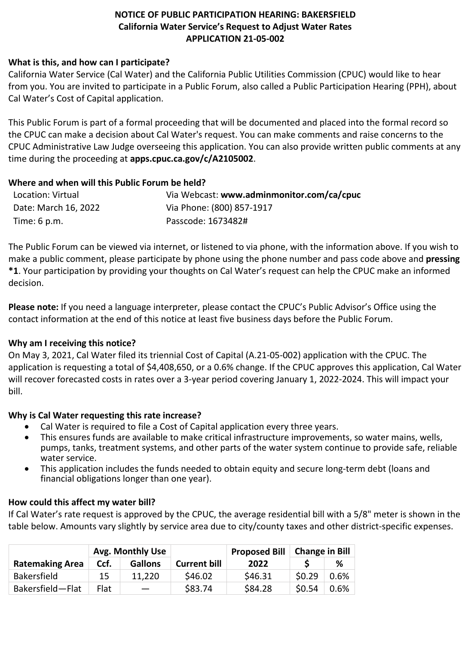# **NOTICE OF PUBLIC PARTICIPATION HEARING: BAKERSFIELD California Water Service's Request to Adjust Water Rates APPLICATION 21-05-002**

### **What is this, and how can I participate?**

California Water Service (Cal Water) and the California Public Utilities Commission (CPUC) would like to hear from you. You are invited to participate in a Public Forum, also called a Public Participation Hearing (PPH), about Cal Water's Cost of Capital application.

This Public Forum is part of a formal proceeding that will be documented and placed into the formal record so the CPUC can make a decision about Cal Water's request. You can make comments and raise concerns to the CPUC Administrative Law Judge overseeing this application. You can also provide written public comments at any time during the proceeding at **[apps.cpuc.ca.gov/c/A2105002](https://apps.cpuc.ca.gov/apex/f?p=401:65:0::NO:RP,57,RIR:P5_PROCEEDING_SELECT:A2105002)**.

### **Where and when will this Public Forum be held?**

| Location: Virtual    | Via Webcast: www.adminmonitor.com/ca/cpuc |
|----------------------|-------------------------------------------|
| Date: March 16, 2022 | Via Phone: (800) 857-1917                 |
| Time: 6 p.m.         | Passcode: 1673482#                        |

The Public Forum can be viewed via internet, or listened to via phone, with the information above. If you wish to make a public comment, please participate by phone using the phone number and pass code above and **pressing \*1**. Your participation by providing your thoughts on Cal Water's request can help the CPUC make an informed decision.

**Please note:** If you need a language interpreter, please contact the CPUC's Public Advisor's Office using the contact information at the end of this notice at least five business days before the Public Forum.

## **Why am I receiving this notice?**

On May 3, 2021, Cal Water filed its triennial Cost of Capital (A.21-05-002) application with the CPUC. The application is requesting a total of \$4,408,650, or a 0.6% change. If the CPUC approves this application, Cal Water will recover forecasted costs in rates over a 3-year period covering January 1, 2022-2024. This will impact your bill.

## **Why is Cal Water requesting this rate increase?**

- Cal Water is required to file a Cost of Capital application every three years.
- This ensures funds are available to make critical infrastructure improvements, so water mains, wells, pumps, tanks, treatment systems, and other parts of the water system continue to provide safe, reliable water service.
- This application includes the funds needed to obtain equity and secure long-term debt (loans and financial obligations longer than one year).

## **How could this affect my water bill?**

If Cal Water's rate request is approved by the CPUC, the average residential bill with a 5/8" meter is shown in the table below. Amounts vary slightly by service area due to city/county taxes and other district-specific expenses.

|                        | Avg. Monthly Use |                |                     | <b>Proposed Bill</b> | <b>Change in Bill</b> |      |
|------------------------|------------------|----------------|---------------------|----------------------|-----------------------|------|
| <b>Ratemaking Area</b> | Ccf.             | <b>Gallons</b> | <b>Current bill</b> | 2022                 |                       | ℅    |
| <b>Bakersfield</b>     | 15               | 11.220         | \$46.02             | \$46.31              | 50.29                 | 0.6% |
| Bakersfield-Flat       | Flat             |                | \$83.74             | \$84.28              | \$0.54                | 0.6% |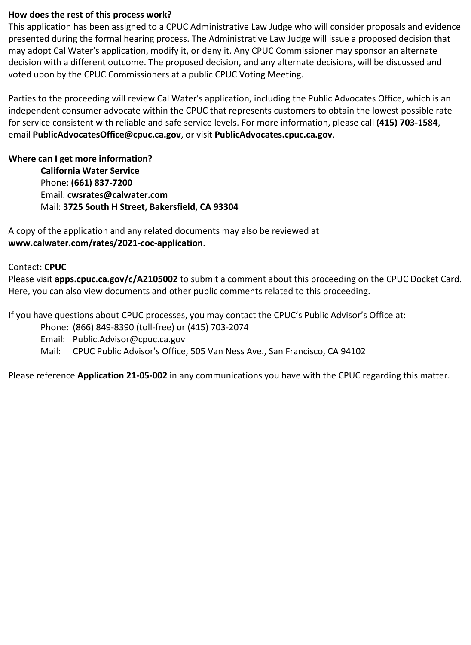#### **How does the rest of this process work?**

This application has been assigned to a CPUC Administrative Law Judge who will consider proposals and evidence presented during the formal hearing process. The Administrative Law Judge will issue a proposed decision that may adopt Cal Water's application, modify it, or deny it. Any CPUC Commissioner may sponsor an alternate decision with a different outcome. The proposed decision, and any alternate decisions, will be discussed and voted upon by the CPUC Commissioners at a public CPUC Voting Meeting.

Parties to the proceeding will review Cal Water's application, including the Public Advocates Office, which is an independent consumer advocate within the CPUC that represents customers to obtain the lowest possible rate for service consistent with reliable and safe service levels. For more information, please call **(415) 703-1584**, email **[PublicAdvocatesOffice@cpuc.ca.gov](mailto:PublicAdvocatesOffice@cpuc.ca.gov)**, or visit **PublicAdvocates.cpuc.ca.gov**.

### **Where can I get more information?**

**California Water Service**  Phone: **(661) 837-7200**  Email: **[cwsrates@calwater.com](file://fileserver/calwater/Rates/CWS%20Proceedings%20(CA)/A21-05-002%20(Cost%20of%20Capital%202021)/B%20Communication%20-%20PPHs/cwsrates@calwater.com)** Mail: **3725 South H Street, Bakersfield, CA 93304**

A copy of the application and any related documents may also be reviewed at **www.calwater.com/rates/2021-coc-application**.

### Contact: **CPUC**

Please visit **[apps.cpuc.ca.gov/c/A2105002](https://apps.cpuc.ca.gov/apex/f?p=401:65:0::NO:RP,57,RIR:P5_PROCEEDING_SELECT:A2105002)** to submit a comment about this proceeding on the CPUC Docket Card. Here, you can also view documents and other public comments related to this proceeding.

If you have questions about CPUC processes, you may contact the CPUC's Public Advisor's Office at:

Phone: (866) 849-8390 (toll-free) or (415) 703-2074

Email: Public.Advisor@cpuc.ca.gov

Mail: CPUC Public Advisor's Office, 505 Van Ness Ave., San Francisco, CA 94102

Please reference **Application 21-05-002** in any communications you have with the CPUC regarding this matter.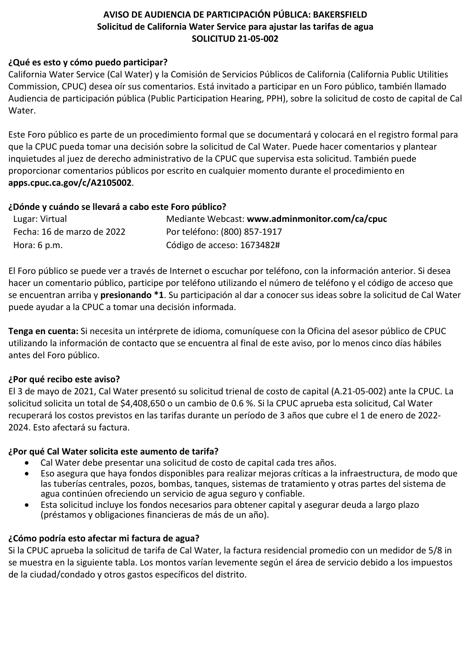# **AVISO DE AUDIENCIA DE PARTICIPACIÓN PÚBLICA: BAKERSFIELD Solicitud de California Water Service para ajustar las tarifas de agua SOLICITUD 21-05-002**

### **¿Qué es esto y cómo puedo participar?**

California Water Service (Cal Water) y la Comisión de Servicios Públicos de California (California Public Utilities Commission, CPUC) desea oír sus comentarios. Está invitado a participar en un Foro público, también llamado Audiencia de participación pública (Public Participation Hearing, PPH), sobre la solicitud de costo de capital de Cal Water.

Este Foro público es parte de un procedimiento formal que se documentará y colocará en el registro formal para que la CPUC pueda tomar una decisión sobre la solicitud de Cal Water. Puede hacer comentarios y plantear inquietudes al juez de derecho administrativo de la CPUC que supervisa esta solicitud. También puede proporcionar comentarios públicos por escrito en cualquier momento durante el procedimiento en **[apps.cpuc.ca.gov/c/A2105002](https://apps.cpuc.ca.gov/apex/f?p=401:65:0::NO:RP,57,RIR:P5_PROCEEDING_SELECT:A2105002)**.

### **¿Dónde y cuándo se llevará a cabo este Foro público?**

| Lugar: Virtual             | Mediante Webcast: www.adminmonitor.com/ca/cpuc |
|----------------------------|------------------------------------------------|
| Fecha: 16 de marzo de 2022 | Por teléfono: (800) 857-1917                   |
| Hora: 6 p.m.               | Código de acceso: 1673482#                     |

El Foro público se puede ver a través de Internet o escuchar por teléfono, con la información anterior. Si desea hacer un comentario público, participe por teléfono utilizando el número de teléfono y el código de acceso que se encuentran arriba y **presionando \*1**. Su participación al dar a conocer sus ideas sobre la solicitud de Cal Water puede ayudar a la CPUC a tomar una decisión informada.

**Tenga en cuenta:** Si necesita un intérprete de idioma, comuníquese con la Oficina del asesor público de CPUC utilizando la información de contacto que se encuentra al final de este aviso, por lo menos cinco días hábiles antes del Foro público.

## **¿Por qué recibo este aviso?**

El 3 de mayo de 2021, Cal Water presentó su solicitud trienal de costo de capital (A.21-05-002) ante la CPUC. La solicitud solicita un total de \$4,408,650 o un cambio de 0.6 %. Si la CPUC aprueba esta solicitud, Cal Water recuperará los costos previstos en las tarifas durante un período de 3 años que cubre el 1 de enero de 2022- 2024. Esto afectará su factura.

## **¿Por qué Cal Water solicita este aumento de tarifa?**

- Cal Water debe presentar una solicitud de costo de capital cada tres años.
- Eso asegura que haya fondos disponibles para realizar mejoras críticas a la infraestructura, de modo que las tuberías centrales, pozos, bombas, tanques, sistemas de tratamiento y otras partes del sistema de agua continúen ofreciendo un servicio de agua seguro y confiable.
- Esta solicitud incluye los fondos necesarios para obtener capital y asegurar deuda a largo plazo (préstamos y obligaciones financieras de más de un año).

## **¿Cómo podría esto afectar mi factura de agua?**

Si la CPUC aprueba la solicitud de tarifa de Cal Water, la factura residencial promedio con un medidor de 5/8 in se muestra en la siguiente tabla. Los montos varían levemente según el área de servicio debido a los impuestos de la ciudad/condado y otros gastos específicos del distrito.